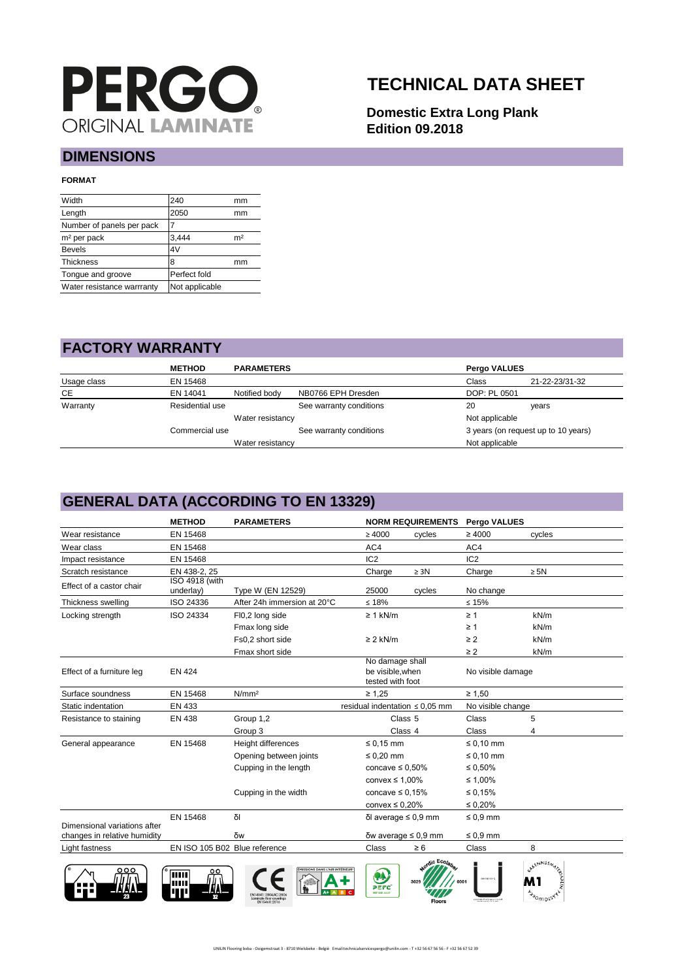

# **TECHNICAL DATA SHEET**

**Domestic Extra Long Plank Edition 09.2018**

#### **DIMENSIONS**

#### **FORMAT**

| 240            | mm             |
|----------------|----------------|
| 2050           | mm             |
|                |                |
| 3.444          | m <sup>2</sup> |
| 4V             |                |
| 8              | mm             |
| Perfect fold   |                |
| Not applicable |                |
|                |                |

#### **FACTORY WARRANTY**

|             | <b>METHOD</b>   | <b>PARAMETERS</b> |                         | Pergo VALUES   |                                     |
|-------------|-----------------|-------------------|-------------------------|----------------|-------------------------------------|
| Usage class | EN 15468        |                   |                         | Class          | 21-22-23/31-32                      |
| CE          | EN 14041        | Notified body     | NB0766 EPH Dresden      | DOP: PL 0501   |                                     |
| Warranty    | Residential use |                   | See warranty conditions | 20             | years                               |
|             |                 | Water resistancy  |                         | Not applicable |                                     |
|             | Commercial use  |                   | See warranty conditions |                | 3 years (on request up to 10 years) |
|             |                 | Water resistancy  |                         | Not applicable |                                     |

### **GENERAL DATA (ACCORDING TO EN 13329)**

|                              | <b>METHOD</b>                      | <b>PARAMETERS</b>                                                          |                                                         | <b>NORM REQUIREMENTS</b>    | <b>Pergo VALUES</b> |                                     |
|------------------------------|------------------------------------|----------------------------------------------------------------------------|---------------------------------------------------------|-----------------------------|---------------------|-------------------------------------|
| Wear resistance              | EN 15468                           |                                                                            | $\geq 4000$                                             | cycles                      | $\geq 4000$         | cycles                              |
| Wear class                   | EN 15468                           |                                                                            | AC4                                                     |                             | AC4                 |                                     |
| Impact resistance            | EN 15468                           |                                                                            | IC <sub>2</sub>                                         |                             | IC <sub>2</sub>     |                                     |
| Scratch resistance           | EN 438-2, 25                       |                                                                            | Charge                                                  | $\geq$ 3N                   | Charge              | $\geq$ 5N                           |
| Effect of a castor chair     | <b>ISO 4918 (with</b><br>underlay) | Type W (EN 12529)                                                          | 25000                                                   | cycles                      | No change           |                                     |
| Thickness swelling           | ISO 24336                          | After 24h immersion at 20°C                                                | $≤ 18%$                                                 |                             | $\leq 15\%$         |                                     |
| Locking strength             | ISO 24334                          | FI0,2 long side                                                            | $\geq 1$ kN/m                                           |                             | $\geq 1$            | kN/m                                |
|                              |                                    | Fmax long side                                                             |                                                         |                             | $\geq 1$            | kN/m                                |
|                              |                                    | Fs0,2 short side                                                           | $\geq$ 2 kN/m                                           |                             | $\geq$ 2            | kN/m                                |
|                              |                                    | Fmax short side                                                            |                                                         |                             | $\geq$ 2            | kN/m                                |
| Effect of a furniture leg    | <b>EN 424</b>                      |                                                                            | No damage shall<br>be visible, when<br>tested with foot |                             | No visible damage   |                                     |
| Surface soundness            | EN 15468                           | N/mm <sup>2</sup>                                                          | $\geq 1.25$                                             |                             | $\geq 1,50$         |                                     |
| Static indentation           | EN 433                             |                                                                            | residual indentation $\leq 0.05$ mm                     |                             | No visible change   |                                     |
| Resistance to staining       | EN 438                             | Group 1,2                                                                  | Class <sub>5</sub>                                      |                             | Class               | 5                                   |
|                              |                                    | Group 3                                                                    | Class 4                                                 |                             | Class               | 4                                   |
| General appearance           | EN 15468                           | Height differences                                                         | $\leq 0.15$ mm                                          |                             | $\leq 0.10$ mm      |                                     |
|                              |                                    | Opening between joints                                                     | $\leq 0.20$ mm                                          |                             | $\leq 0.10$ mm      |                                     |
|                              |                                    | Cupping in the length                                                      | concave $\leq 0.50\%$                                   |                             | $\leq 0.50\%$       |                                     |
|                              |                                    |                                                                            | convex $\leq 1,00\%$                                    |                             | ≤ 1,00%             |                                     |
|                              |                                    | Cupping in the width                                                       | concave $\leq 0.15\%$                                   |                             | ≤ 0,15%             |                                     |
|                              |                                    |                                                                            | convex $\leq 0.20\%$                                    |                             | $\leq 0.20\%$       |                                     |
| Dimensional variations after | EN 15468                           | δΙ                                                                         | δΙ average $\leq$ 0,9 mm                                |                             | $\leq 0.9$ mm       |                                     |
| changes in relative humidity |                                    | δw                                                                         | δw average $\leq$ 0,9 mm                                |                             | $\leq 0.9$ mm       |                                     |
| Light fastness               | EN ISO 105 B02 Blue reference      |                                                                            | Class                                                   | $\geq 6$                    | Class               | 8                                   |
| ooc                          | <b>THIL</b><br>ш                   | MISSIONS DANS L'AIR INTÉRIEURY<br>Laminate floor coverings<br>EN15468:2016 | PEFC<br>PDF 0101-32-87                                  | dic Ecolar<br><b>Floors</b> |                     | <b>KENNUSM</b><br><b>ANONIOLSKE</b> |